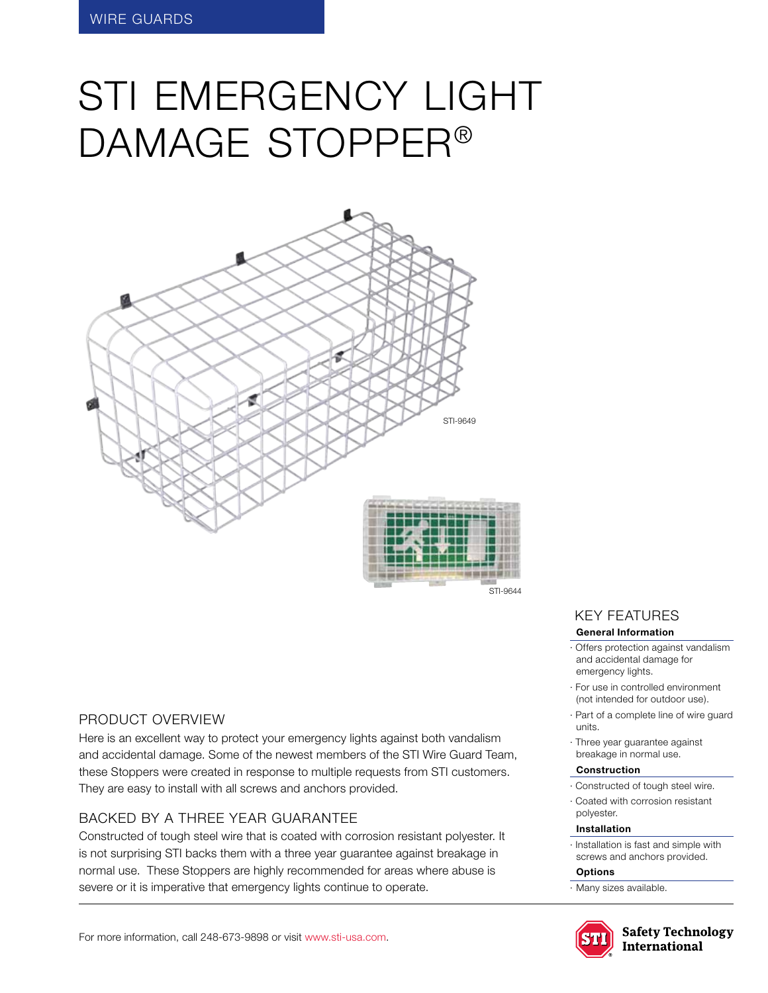# STI EMERGENCY LIGHT damage Stopper®



#### STI-9644

#### Product Overview

Here is an excellent way to protect your emergency lights against both vandalism and accidental damage. Some of the newest members of the STI Wire Guard Team, these Stoppers were created in response to multiple requests from STI customers. They are easy to install with all screws and anchors provided.

## BACKED BY A THREE YEAR GUARANTEE

Constructed of tough steel wire that is coated with corrosion resistant polyester. It is not surprising STI backs them with a three year guarantee against breakage in normal use. These Stoppers are highly recommended for areas where abuse is severe or it is imperative that emergency lights continue to operate.

## KEY features

#### **General Information**

- · Offers protection against vandalism and accidental damage for emergency lights.
- · For use in controlled environment (not intended for outdoor use).
- · Part of a complete line of wire guard units.
- · Three year guarantee against breakage in normal use.

#### **Construction**

- · Constructed of tough steel wire.
- · Coated with corrosion resistant polyester.

#### **Installation**

· Installation is fast and simple with screws and anchors provided.

#### **Options**

· Many sizes available.



**Safety Technology** International